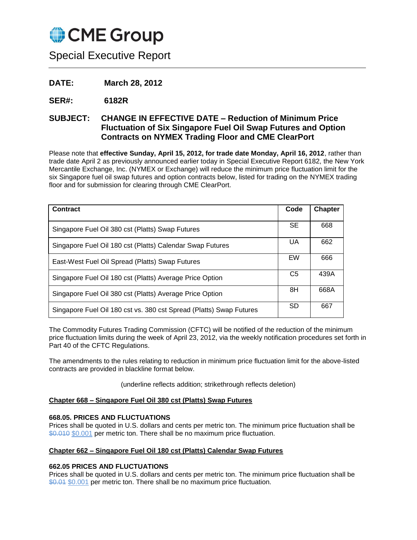

Special Executive Report

**DATE: March 28, 2012**

**SER#: 6182R**

# **SUBJECT: CHANGE IN EFFECTIVE DATE – Reduction of Minimum Price Fluctuation of Six Singapore Fuel Oil Swap Futures and Option Contracts on NYMEX Trading Floor and CME ClearPort**

Please note that **effective Sunday, April 15, 2012, for trade date Monday, April 16, 2012**, rather than trade date April 2 as previously announced earlier today in Special Executive Report 6182, the New York Mercantile Exchange, Inc. (NYMEX or Exchange) will reduce the minimum price fluctuation limit for the six Singapore fuel oil swap futures and option contracts below, listed for trading on the NYMEX trading floor and for submission for clearing through CME ClearPort.

| Contract                                                            | Code           | <b>Chapter</b> |
|---------------------------------------------------------------------|----------------|----------------|
| Singapore Fuel Oil 380 cst (Platts) Swap Futures                    | <b>SE</b>      | 668            |
| Singapore Fuel Oil 180 cst (Platts) Calendar Swap Futures           | UA             | 662            |
| East-West Fuel Oil Spread (Platts) Swap Futures                     | EW             | 666            |
| Singapore Fuel Oil 180 cst (Platts) Average Price Option            | C <sub>5</sub> | 439A           |
| Singapore Fuel Oil 380 cst (Platts) Average Price Option            | 8H             | 668A           |
| Singapore Fuel Oil 180 cst vs. 380 cst Spread (Platts) Swap Futures | <b>SD</b>      | 667            |

The Commodity Futures Trading Commission (CFTC) will be notified of the reduction of the minimum price fluctuation limits during the week of April 23, 2012, via the weekly notification procedures set forth in Part 40 of the CFTC Regulations.

The amendments to the rules relating to reduction in minimum price fluctuation limit for the above-listed contracts are provided in blackline format below.

(underline reflects addition; strikethrough reflects deletion)

#### **Chapter 668 – Singapore Fuel Oil 380 cst (Platts) Swap Futures**

#### **668.05. PRICES AND FLUCTUATIONS**

Prices shall be quoted in U.S. dollars and cents per metric ton. The minimum price fluctuation shall be \$0.010 \$0.001 per metric ton. There shall be no maximum price fluctuation.

# **Chapter 662 – Singapore Fuel Oil 180 cst (Platts) Calendar Swap Futures**

#### **662.05 PRICES AND FLUCTUATIONS**

Prices shall be quoted in U.S. dollars and cents per metric ton. The minimum price fluctuation shall be \$0.01 \$0.001 per metric ton. There shall be no maximum price fluctuation.